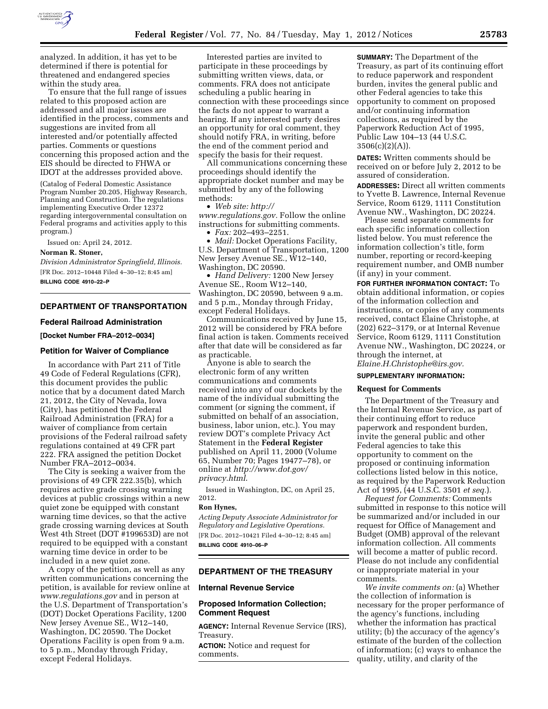

analyzed. In addition, it has yet to be determined if there is potential for threatened and endangered species within the study area.

To ensure that the full range of issues related to this proposed action are addressed and all major issues are identified in the process, comments and suggestions are invited from all interested and/or potentially affected parties. Comments or questions concerning this proposed action and the EIS should be directed to FHWA or IDOT at the addresses provided above.

(Catalog of Federal Domestic Assistance Program Number 20.205, Highway Research, Planning and Construction. The regulations implementing Executive Order 12372 regarding intergovernmental consultation on Federal programs and activities apply to this program.)

Issued on: April 24, 2012.

### **Norman R. Stoner,**

*Division Administrator Springfield, Illinois.*  [FR Doc. 2012–10448 Filed 4–30–12; 8:45 am] **BILLING CODE 4910–22–P** 

### **DEPARTMENT OF TRANSPORTATION**

### **Federal Railroad Administration**

**[Docket Number FRA–2012–0034]** 

### **Petition for Waiver of Compliance**

In accordance with Part 211 of Title 49 Code of Federal Regulations (CFR), this document provides the public notice that by a document dated March 21, 2012, the City of Nevada, Iowa (City), has petitioned the Federal Railroad Administration (FRA) for a waiver of compliance from certain provisions of the Federal railroad safety regulations contained at 49 CFR part 222. FRA assigned the petition Docket Number FRA–2012–0034.

The City is seeking a waiver from the provisions of 49 CFR 222.35(b), which requires active grade crossing warning devices at public crossings within a new quiet zone be equipped with constant warning time devices, so that the active grade crossing warning devices at South West 4th Street (DOT #199653D) are not required to be equipped with a constant warning time device in order to be included in a new quiet zone.

A copy of the petition, as well as any written communications concerning the petition, is available for review online at *[www.regulations.gov](http://www.regulations.gov)* and in person at the U.S. Department of Transportation's (DOT) Docket Operations Facility, 1200 New Jersey Avenue SE., W12–140, Washington, DC 20590. The Docket Operations Facility is open from 9 a.m. to 5 p.m., Monday through Friday, except Federal Holidays.

Interested parties are invited to participate in these proceedings by submitting written views, data, or comments. FRA does not anticipate scheduling a public hearing in connection with these proceedings since the facts do not appear to warrant a hearing. If any interested party desires an opportunity for oral comment, they should notify FRA, in writing, before the end of the comment period and specify the basis for their request.

All communications concerning these proceedings should identify the appropriate docket number and may be submitted by any of the following methods:

• *Web site: [http://](http://www.regulations.gov)* 

*[www.regulations.gov.](http://www.regulations.gov)* Follow the online instructions for submitting comments.

• *Fax:* 202–493–2251.

• *Mail:* Docket Operations Facility, U.S. Department of Transportation, 1200 New Jersey Avenue SE., W12–140, Washington, DC 20590.

• *Hand Delivery:* 1200 New Jersey Avenue SE., Room W12–140, Washington, DC 20590, between 9 a.m. and 5 p.m., Monday through Friday, except Federal Holidays.

Communications received by June 15, 2012 will be considered by FRA before final action is taken. Comments received after that date will be considered as far as practicable.

Anyone is able to search the electronic form of any written communications and comments received into any of our dockets by the name of the individual submitting the comment (or signing the comment, if submitted on behalf of an association, business, labor union, etc.). You may review DOT's complete Privacy Act Statement in the **Federal Register**  published on April 11, 2000 (Volume 65, Number 70; Pages 19477–78), or online at *[http://www.dot.gov/](http://www.dot.gov/privacy.html) [privacy.html](http://www.dot.gov/privacy.html)*.

Issued in Washington, DC, on April 25, 2012.

### **Ron Hynes,**

*Acting Deputy Associate Administrator for Regulatory and Legislative Operations.*  [FR Doc. 2012–10421 Filed 4–30–12; 8:45 am] **BILLING CODE 4910–06–P** 

## **DEPARTMENT OF THE TREASURY**

### **Internal Revenue Service**

## **Proposed Information Collection; Comment Request**

**AGENCY:** Internal Revenue Service (IRS), Treasury.

**ACTION:** Notice and request for comments.

**SUMMARY:** The Department of the Treasury, as part of its continuing effort to reduce paperwork and respondent burden, invites the general public and other Federal agencies to take this opportunity to comment on proposed and/or continuing information collections, as required by the Paperwork Reduction Act of 1995, Public Law 104–13 (44 U.S.C.  $3506(c)(2)(A)).$ 

**DATES:** Written comments should be received on or before July 2, 2012 to be assured of consideration.

**ADDRESSES:** Direct all written comments to Yvette B. Lawrence, Internal Revenue Service, Room 6129, 1111 Constitution Avenue NW., Washington, DC 20224.

Please send separate comments for each specific information collection listed below. You must reference the information collection's title, form number, reporting or record-keeping requirement number, and OMB number (if any) in your comment.

**FOR FURTHER INFORMATION CONTACT:** To obtain additional information, or copies of the information collection and instructions, or copies of any comments received, contact Elaine Christophe, at (202) 622–3179, or at Internal Revenue Service, Room 6129, 1111 Constitution Avenue NW., Washington, DC 20224, or through the internet, at *[Elaine.H.Christophe@irs.gov.](mailto:Elaine.H.Christophe@irs.gov)* 

## **SUPPLEMENTARY INFORMATION:**

### **Request for Comments**

The Department of the Treasury and the Internal Revenue Service, as part of their continuing effort to reduce paperwork and respondent burden, invite the general public and other Federal agencies to take this opportunity to comment on the proposed or continuing information collections listed below in this notice, as required by the Paperwork Reduction Act of 1995, (44 U.S.C. 3501 *et seq.*).

*Request for Comments:* Comments submitted in response to this notice will be summarized and/or included in our request for Office of Management and Budget (OMB) approval of the relevant information collection. All comments will become a matter of public record. Please do not include any confidential or inappropriate material in your comments.

*We invite comments on:* (a) Whether the collection of information is necessary for the proper performance of the agency's functions, including whether the information has practical utility; (b) the accuracy of the agency's estimate of the burden of the collection of information; (c) ways to enhance the quality, utility, and clarity of the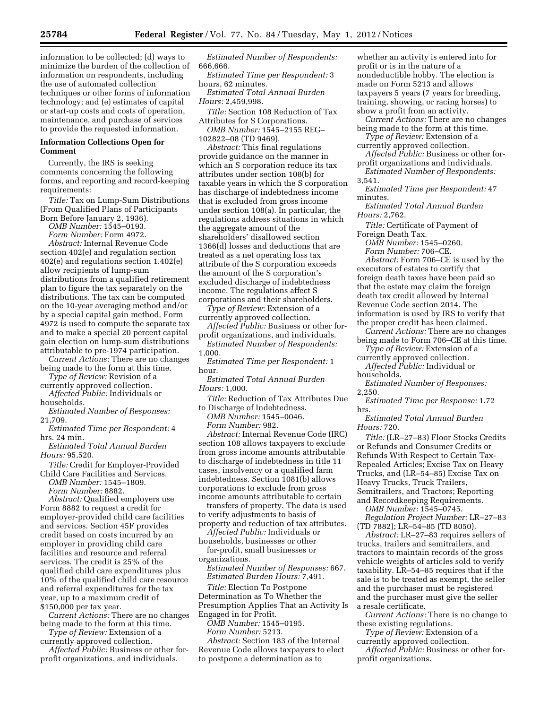information to be collected; (d) ways to minimize the burden of the collection of information on respondents, including the use of automated collection techniques or other forms of information technology; and (e) estimates of capital or start-up costs and costs of operation, maintenance, and purchase of services to provide the requested information.

## **Information Collections Open for Comment**

Currently, the IRS is seeking comments concerning the following forms, and reporting and record-keeping requirements:

*Title:* Tax on Lump-Sum Distributions (From Qualified Plans of Participants Born Before January 2, 1936).

*OMB Number:* 1545–0193.

*Form Number:* Form 4972.

*Abstract:* Internal Revenue Code section 402(e) and regulation section 402(e) and regulations section 1.402(e) allow recipients of lump-sum distributions from a qualified retirement plan to figure the tax separately on the distributions. The tax can be computed on the 10-year averaging method and/or by a special capital gain method. Form 4972 is used to compute the separate tax and to make a special 20 percent capital gain election on lump-sum distributions attributable to pre-1974 participation.

*Current Actions:* There are no changes being made to the form at this time.

*Type of Review:* Revision of a currently approved collection.

*Affected Public:* Individuals or households.

*Estimated Number of Responses:*  21,709.

*Estimated Time per Respondent:* 4 hrs. 24 min.

*Estimated Total Annual Burden Hours:* 95,520.

*Title:* Credit for Employer-Provided Child Care Facilities and Services.

*OMB Number:* 1545–1809.

*Form Number:* 8882.

*Abstract:* Qualified employers use Form 8882 to request a credit for employer-provided child care facilities and services. Section 45F provides credit based on costs incurred by an employer in providing child care facilities and resource and referral services. The credit is 25% of the qualified child care expenditures plus 10% of the qualified child care resource and referral expenditures for the tax year, up to a maximum credit of \$150,000 per tax year.

*Current Actions:* There are no changes being made to the form at this time.

*Type of Review:* Extension of a currently approved collection.

*Affected Public:* Business or other forprofit organizations, and individuals.

*Estimated Number of Respondents:*  666,666.

*Estimated Time per Respondent:* 3 hours, 62 minutes.

*Estimated Total Annual Burden Hours:* 2,459,998.

*Title:* Section 108 Reduction of Tax Attributes for S Corporations.

*OMB Number:* 1545–2155 REG– 102822–08 (TD 9469).

*Abstract:* This final regulations provide guidance on the manner in which an S corporation reduce its tax attributes under section 108(b) for taxable years in which the S corporation has discharge of indebtedness income that is excluded from gross income under section 108(a). In particular, the regulations address situations in which the aggregate amount of the shareholders' disallowed section 1366(d) losses and deductions that are treated as a net operating loss tax attribute of the S corporation exceeds the amount of the S corporation's excluded discharge of indebtedness income. The regulations affect S corporations and their shareholders.

*Type of Review:* Extension of a currently approved collection.

*Affected Public:* Business or other forprofit organizations, and individuals.

*Estimated Number of Respondents:*  1,000.

*Estimated Time per Respondent:* 1 hour.

*Estimated Total Annual Burden Hours:* 1,000.

*Title:* Reduction of Tax Attributes Due to Discharge of Indebtedness.

*OMB Number:* 1545–0046. *Form Number:* 982.

*Abstract:* Internal Revenue Code (IRC) section 108 allows taxpayers to exclude from gross income amounts attributable to discharge of indebtedness in title 11 cases, insolvency or a qualified farm indebtedness. Section 1081(b) allows corporations to exclude from gross income amounts attributable to certain

transfers of property. The data is used to verify adjustments to basis of

property and reduction of tax attributes. *Affected Public:* Individuals or

households, businesses or other for-profit, small businesses or organizations.

*Estimated Number of Responses:* 667. *Estimated Burden Hours:* 7,491.

*Title:* Election To Postpone Determination as To Whether the Presumption Applies That an Activity Is Engaged in for Profit.

*OMB Number:* 1545–0195. *Form Number:* 5213.

*Abstract:* Section 183 of the Internal Revenue Code allows taxpayers to elect to postpone a determination as to

whether an activity is entered into for profit or is in the nature of a nondeductible hobby. The election is made on Form 5213 and allows taxpayers 5 years (7 years for breeding, training, showing, or racing horses) to show a profit from an activity.

*Current Actions:* There are no changes being made to the form at this time.

*Type of Review:* Extension of a currently approved collection.

*Affected Public:* Business or other forprofit organizations and individuals.

*Estimated Number of Respondents:*  3,541.

*Estimated Time per Respondent:* 47 minutes.

*Estimated Total Annual Burden Hours:* 2,762.

*Title:* Certificate of Payment of Foreign Death Tax.

*OMB Number:* 1545–0260.

*Form Number:* 706–CE. *Abstract:* Form 706–CE is used by the executors of estates to certify that foreign death taxes have been paid so that the estate may claim the foreign death tax credit allowed by Internal Revenue Code section 2014. The information is used by IRS to verify that the proper credit has been claimed.

*Current Actions:* There are no changes being made to Form 706–CE at this time.

*Type of Review:* Extension of a currently approved collection.

*Affected Public:* Individual or households.

*Estimated Number of Responses:*  2,250.

*Estimated Time per Response:* 1.72 hrs.

*Estimated Total Annual Burden Hours:* 720.

*Title:* (LR–27–83) Floor Stocks Credits or Refunds and Consumer Credits or Refunds With Respect to Certain Tax-Repealed Articles; Excise Tax on Heavy Trucks, and (LR–54–85) Excise Tax on Heavy Trucks, Truck Trailers, Semitrailers, and Tractors; Reporting and Recordkeeping Requirements.

*OMB Number:* 1545–0745.

*Regulation Project Number:* LR–27–83 (TD 7882); LR–54–85 (TD 8050).

*Abstract:* LR–27–83 requires sellers of trucks, trailers and semitrailers, and tractors to maintain records of the gross vehicle weights of articles sold to verify taxability. LR–54–85 requires that if the sale is to be treated as exempt, the seller and the purchaser must be registered and the purchaser must give the seller a resale certificate.

*Current Actions:* There is no change to these existing regulations.

*Type of Review:* Extension of a currently approved collection.

*Affected Public:* Business or other forprofit organizations.